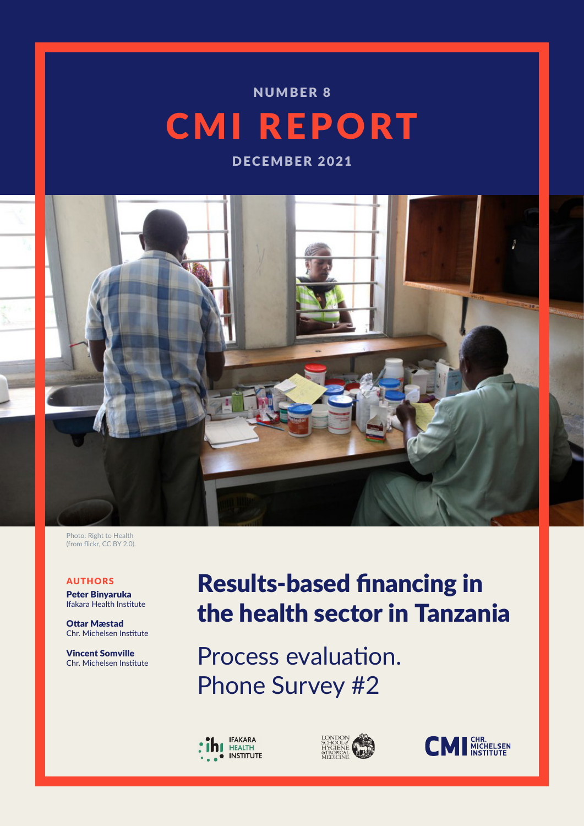# CMI REPORT NUMBER 8

DECEMBER 2021



Photo: Right to Health (from flickr, CC BY 2.0).

#### AUTHORS

Peter Binyaruka Ifakara Health Institute

Ottar Mæstad Chr. Michelsen Institute

Vincent Somville Chr. Michelsen Institute

# Results-based financing in the health sector in Tanzania

Process evaluation. Phone Survey #2





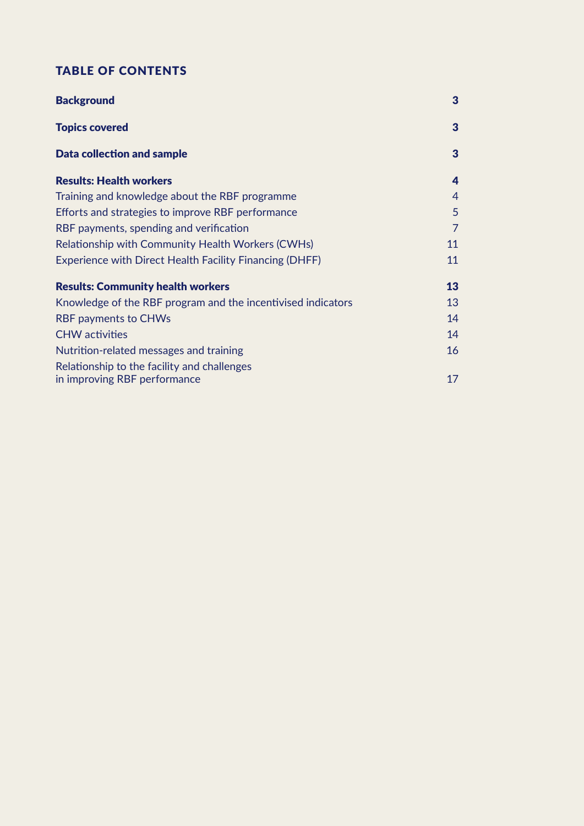## TABLE OF CONTENTS

| <b>Background</b>                                              | 3              |
|----------------------------------------------------------------|----------------|
| <b>Topics covered</b>                                          | $\overline{3}$ |
| <b>Data collection and sample</b>                              | 3              |
| <b>Results: Health workers</b>                                 | 4              |
| Training and knowledge about the RBF programme                 | 4              |
| Efforts and strategies to improve RBF performance              | 5              |
| RBF payments, spending and verification                        | 7              |
| Relationship with Community Health Workers (CWHs)              | 11             |
| <b>Experience with Direct Health Facility Financing (DHFF)</b> | 11             |
| <b>Results: Community health workers</b>                       | 13             |
| Knowledge of the RBF program and the incentivised indicators   | 13             |
| <b>RBF payments to CHWs</b>                                    | 14             |
| <b>CHW</b> activities                                          | 14             |
| Nutrition-related messages and training                        | 16             |
| Relationship to the facility and challenges                    |                |
| in improving RBF performance                                   | 17             |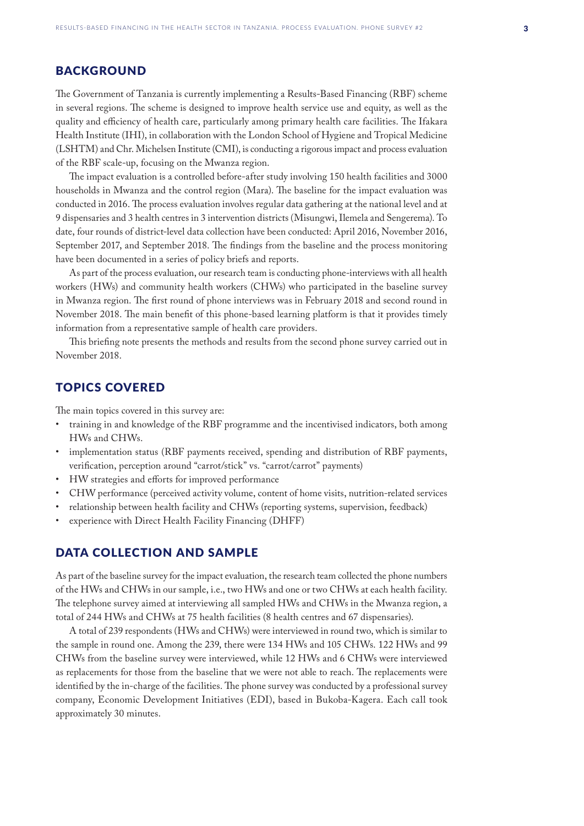## <span id="page-2-0"></span>**BACKGROUND**

The Government of Tanzania is currently implementing a Results-Based Financing (RBF) scheme in several regions. The scheme is designed to improve health service use and equity, as well as the quality and efficiency of health care, particularly among primary health care facilities. The Ifakara Health Institute (IHI), in collaboration with the London School of Hygiene and Tropical Medicine (LSHTM) and Chr. Michelsen Institute (CMI), is conducting a rigorous impact and process evaluation of the RBF scale-up, focusing on the Mwanza region.

The impact evaluation is a controlled before-after study involving 150 health facilities and 3000 households in Mwanza and the control region (Mara). The baseline for the impact evaluation was conducted in 2016. The process evaluation involves regular data gathering at the national level and at 9 dispensaries and 3 health centres in 3 intervention districts (Misungwi, Ilemela and Sengerema). To date, four rounds of district-level data collection have been conducted: April 2016, November 2016, September 2017, and September 2018. The findings from the baseline and the process monitoring have been documented in a series of policy briefs and reports.

As part of the process evaluation, our research team is conducting phone-interviews with all health workers (HWs) and community health workers (CHWs) who participated in the baseline survey in Mwanza region. The first round of phone interviews was in February 2018 and second round in November 2018. The main benefit of this phone-based learning platform is that it provides timely information from a representative sample of health care providers.

This briefing note presents the methods and results from the second phone survey carried out in November 2018.

#### TOPICS COVERED

The main topics covered in this survey are:

- training in and knowledge of the RBF programme and the incentivised indicators, both among HWs and CHWs.
- implementation status (RBF payments received, spending and distribution of RBF payments, verification, perception around "carrot/stick" vs. "carrot/carrot" payments)
- HW strategies and efforts for improved performance
- CHW performance (perceived activity volume, content of home visits, nutrition-related services
- relationship between health facility and CHWs (reporting systems, supervision, feedback)
- experience with Direct Health Facility Financing (DHFF)

### DATA COLLECTION AND SAMPLE

As part of the baseline survey for the impact evaluation, the research team collected the phone numbers of the HWs and CHWs in our sample, i.e., two HWs and one or two CHWs at each health facility. The telephone survey aimed at interviewing all sampled HWs and CHWs in the Mwanza region, a total of 244 HWs and CHWs at 75 health facilities (8 health centres and 67 dispensaries).

A total of 239 respondents (HWs and CHWs) were interviewed in round two, which is similar to the sample in round one. Among the 239, there were 134 HWs and 105 CHWs. 122 HWs and 99 CHWs from the baseline survey were interviewed, while 12 HWs and 6 CHWs were interviewed as replacements for those from the baseline that we were not able to reach. The replacements were identified by the in-charge of the facilities. The phone survey was conducted by a professional survey company, Economic Development Initiatives (EDI), based in Bukoba-Kagera. Each call took approximately 30 minutes.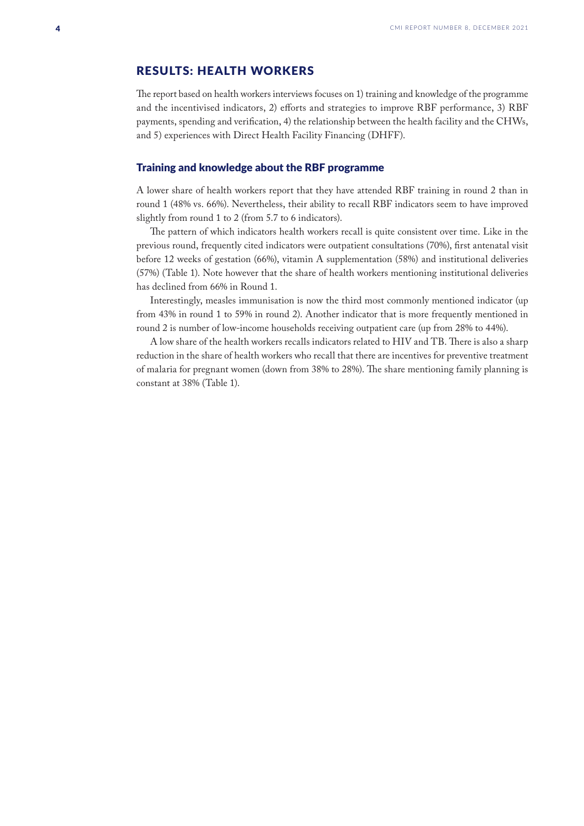## <span id="page-3-0"></span>RESULTS: HEALTH WORKERS

The report based on health workers interviews focuses on 1) training and knowledge of the programme and the incentivised indicators, 2) efforts and strategies to improve RBF performance, 3) RBF payments, spending and verification, 4) the relationship between the health facility and the CHWs, and 5) experiences with Direct Health Facility Financing (DHFF).

#### Training and knowledge about the RBF programme

A lower share of health workers report that they have attended RBF training in round 2 than in round 1 (48% vs. 66%). Nevertheless, their ability to recall RBF indicators seem to have improved slightly from round 1 to 2 (from 5.7 to 6 indicators).

The pattern of which indicators health workers recall is quite consistent over time. Like in the previous round, frequently cited indicators were outpatient consultations (70%), first antenatal visit before 12 weeks of gestation (66%), vitamin A supplementation (58%) and institutional deliveries (57%) (Table 1). Note however that the share of health workers mentioning institutional deliveries has declined from 66% in Round 1.

Interestingly, measles immunisation is now the third most commonly mentioned indicator (up from 43% in round 1 to 59% in round 2). Another indicator that is more frequently mentioned in round 2 is number of low-income households receiving outpatient care (up from 28% to 44%).

A low share of the health workers recalls indicators related to HIV and TB. There is also a sharp reduction in the share of health workers who recall that there are incentives for preventive treatment of malaria for pregnant women (down from 38% to 28%). The share mentioning family planning is constant at 38% (Table 1).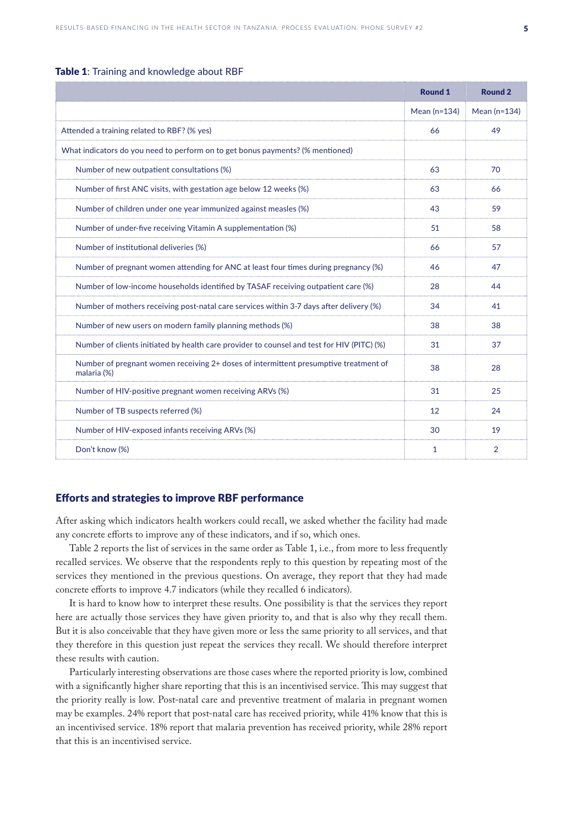#### <span id="page-4-0"></span>Table 1: Training and knowledge about RBF

|                                                                                                     | <b>Round 1</b> | <b>Round 2</b> |
|-----------------------------------------------------------------------------------------------------|----------------|----------------|
|                                                                                                     | Mean $(n=134)$ | Mean $(n=134)$ |
| Attended a training related to RBF? (% yes)                                                         | 66             | 49             |
| What indicators do you need to perform on to get bonus payments? (% mentioned)                      |                |                |
| Number of new outpatient consultations (%)                                                          | 63             | 70             |
| Number of first ANC visits, with gestation age below 12 weeks (%)                                   | 63             | 66             |
| Number of children under one year immunized against measles (%)                                     | 43             | 59             |
| Number of under-five receiving Vitamin A supplementation (%)                                        | 51             | 58             |
| Number of institutional deliveries (%)                                                              | 66             | 57             |
| Number of pregnant women attending for ANC at least four times during pregnancy (%)                 | 46             | 47             |
| Number of low-income households identified by TASAF receiving outpatient care (%)                   | 28             | 44             |
| Number of mothers receiving post-natal care services within 3-7 days after delivery (%)             | 34             | 41             |
| Number of new users on modern family planning methods (%)                                           | 38             | 38             |
| Number of clients initiated by health care provider to counsel and test for HIV (PITC) (%)          | 31             | 37             |
| Number of pregnant women receiving 2+ doses of intermittent presumptive treatment of<br>malaria (%) | 38             | 28             |
| Number of HIV-positive pregnant women receiving ARVs (%)                                            | 31             | 25             |
| Number of TB suspects referred (%)                                                                  | 12             | 24             |
| Number of HIV-exposed infants receiving ARVs (%)                                                    | 30             | 19             |
| Don't know (%)                                                                                      | 1              | $\overline{2}$ |

#### Efforts and strategies to improve RBF performance

After asking which indicators health workers could recall, we asked whether the facility had made any concrete efforts to improve any of these indicators, and if so, which ones.

Table 2 reports the list of services in the same order as Table 1, i.e., from more to less frequently recalled services. We observe that the respondents reply to this question by repeating most of the services they mentioned in the previous questions. On average, they report that they had made concrete efforts to improve 4.7 indicators (while they recalled 6 indicators).

It is hard to know how to interpret these results. One possibility is that the services they report here are actually those services they have given priority to, and that is also why they recall them. But it is also conceivable that they have given more or less the same priority to all services, and that they therefore in this question just repeat the services they recall. We should therefore interpret these results with caution.

Particularly interesting observations are those cases where the reported priority is low, combined with a significantly higher share reporting that this is an incentivised service. This may suggest that the priority really is low. Post-natal care and preventive treatment of malaria in pregnant women may be examples. 24% report that post-natal care has received priority, while 41% know that this is an incentivised service. 18% report that malaria prevention has received priority, while 28% report that this is an incentivised service.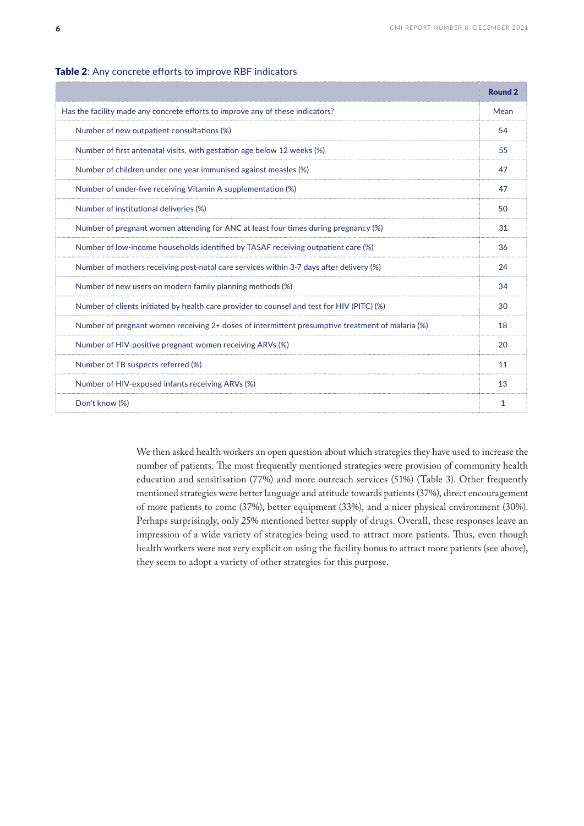|                                                                                                  | Round <sub>2</sub> |
|--------------------------------------------------------------------------------------------------|--------------------|
| Has the facility made any concrete efforts to improve any of these indicators?                   | Mean               |
| Number of new outpatient consultations (%)                                                       | 54                 |
| Number of first antenatal visits, with gestation age below 12 weeks (%)                          | 55                 |
| Number of children under one year immunised against measles (%)                                  | 47                 |
| Number of under-five receiving Vitamin A supplementation (%)                                     | 47                 |
| Number of institutional deliveries (%)                                                           | 50                 |
| Number of pregnant women attending for ANC at least four times during pregnancy (%)              | 31                 |
| Number of low-income households identified by TASAF receiving outpatient care (%)                | 36                 |
| Number of mothers receiving post-natal care services within 3-7 days after delivery (%)          | 24                 |
| Number of new users on modern family planning methods (%)                                        | 34                 |
| Number of clients initiated by health care provider to counsel and test for HIV (PITC) (%)       | 30                 |
| Number of pregnant women receiving 2+ doses of intermittent presumptive treatment of malaria (%) | 18                 |
| Number of HIV-positive pregnant women receiving ARVs (%)                                         | 20                 |
| Number of TB suspects referred (%)                                                               | 11                 |
| Number of HIV-exposed infants receiving ARVs (%)                                                 | 13                 |
| Don't know (%)                                                                                   |                    |

#### Table 2: Any concrete efforts to improve RBF indicators

We then asked health workers an open question about which strategies they have used to increase the number of patients. The most frequently mentioned strategies were provision of community health education and sensitisation (77%) and more outreach services (51%) (Table 3). Other frequently mentioned strategies were better language and attitude towards patients (37%), direct encouragement of more patients to come (37%), better equipment (33%), and a nicer physical environment (30%). Perhaps surprisingly, only 25% mentioned better supply of drugs. Overall, these responses leave an impression of a wide variety of strategies being used to attract more patients. Thus, even though health workers were not very explicit on using the facility bonus to attract more patients (see above), they seem to adopt a variety of other strategies for this purpose.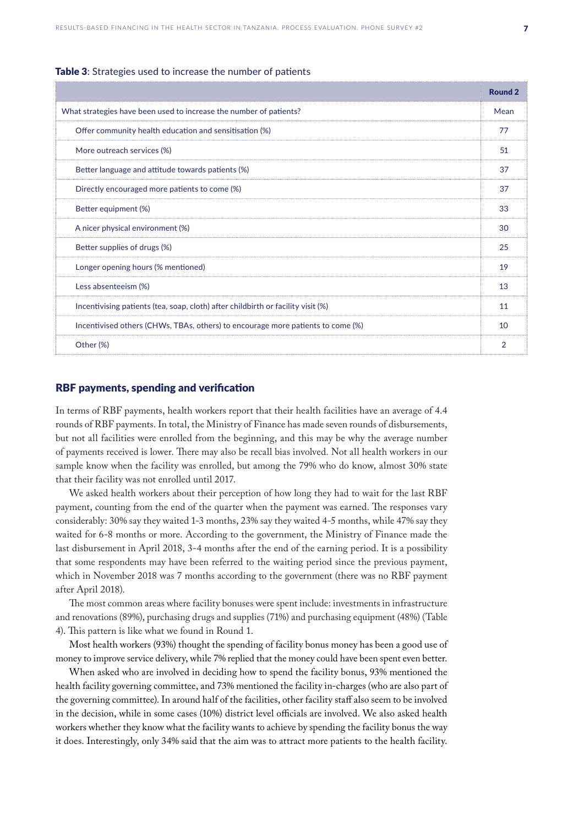#### <span id="page-6-0"></span>Table 3: Strategies used to increase the number of patients

|                                                                                  | <b>Round 2</b> |
|----------------------------------------------------------------------------------|----------------|
| What strategies have been used to increase the number of patients?               | Mean           |
| Offer community health education and sensitisation (%)                           | 77             |
| More outreach services (%)                                                       | 51             |
| Better language and attitude towards patients (%)                                | 37             |
| Directly encouraged more patients to come (%)                                    | 37             |
| Better equipment (%)                                                             | 33             |
| A nicer physical environment (%)                                                 | 30             |
| Better supplies of drugs (%)                                                     | 25             |
| Longer opening hours (% mentioned)                                               | 19             |
| Less absenteeism (%)                                                             | 13             |
| Incentivising patients (tea, soap, cloth) after childbirth or facility visit (%) | 11             |
| Incentivised others (CHWs, TBAs, others) to encourage more patients to come (%)  | 10             |
| Other (%)                                                                        | 2              |

#### RBF payments, spending and verification

In terms of RBF payments, health workers report that their health facilities have an average of 4.4 rounds of RBF payments. In total, the Ministry of Finance has made seven rounds of disbursements, but not all facilities were enrolled from the beginning, and this may be why the average number of payments received is lower. There may also be recall bias involved. Not all health workers in our sample know when the facility was enrolled, but among the 79% who do know, almost 30% state that their facility was not enrolled until 2017.

We asked health workers about their perception of how long they had to wait for the last RBF payment, counting from the end of the quarter when the payment was earned. The responses vary considerably: 30% say they waited 1-3 months, 23% say they waited 4-5 months, while 47% say they waited for 6-8 months or more. According to the government, the Ministry of Finance made the last disbursement in April 2018, 3-4 months after the end of the earning period. It is a possibility that some respondents may have been referred to the waiting period since the previous payment, which in November 2018 was 7 months according to the government (there was no RBF payment after April 2018).

The most common areas where facility bonuses were spent include: investments in infrastructure and renovations (89%), purchasing drugs and supplies (71%) and purchasing equipment (48%) (Table 4). This pattern is like what we found in Round 1.

Most health workers (93%) thought the spending of facility bonus money has been a good use of money to improve service delivery, while 7% replied that the money could have been spent even better.

When asked who are involved in deciding how to spend the facility bonus, 93% mentioned the health facility governing committee, and 73% mentioned the facility in-charges (who are also part of the governing committee). In around half of the facilities, other facility staff also seem to be involved in the decision, while in some cases (10%) district level officials are involved. We also asked health workers whether they know what the facility wants to achieve by spending the facility bonus the way it does. Interestingly, only 34% said that the aim was to attract more patients to the health facility.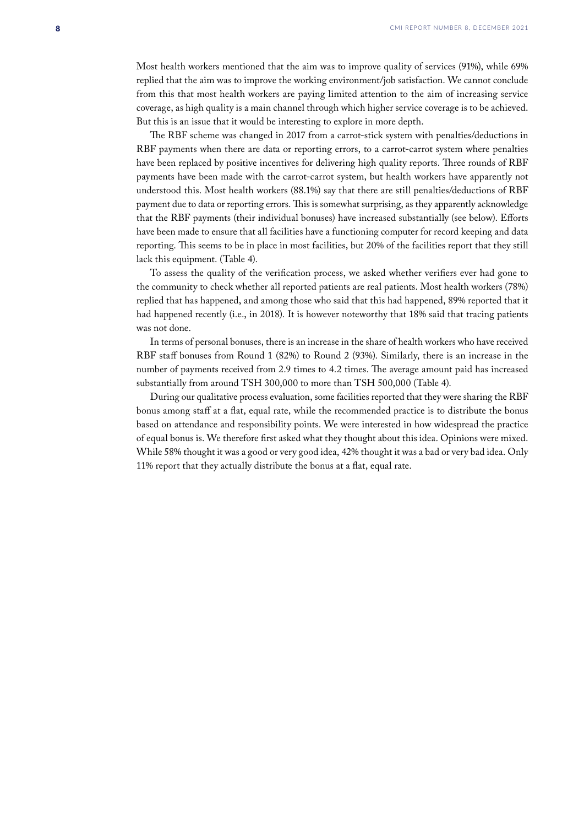Most health workers mentioned that the aim was to improve quality of services (91%), while 69% replied that the aim was to improve the working environment/job satisfaction. We cannot conclude from this that most health workers are paying limited attention to the aim of increasing service coverage, as high quality is a main channel through which higher service coverage is to be achieved. But this is an issue that it would be interesting to explore in more depth.

The RBF scheme was changed in 2017 from a carrot-stick system with penalties/deductions in RBF payments when there are data or reporting errors, to a carrot-carrot system where penalties have been replaced by positive incentives for delivering high quality reports. Three rounds of RBF payments have been made with the carrot-carrot system, but health workers have apparently not understood this. Most health workers (88.1%) say that there are still penalties/deductions of RBF payment due to data or reporting errors. This is somewhat surprising, as they apparently acknowledge that the RBF payments (their individual bonuses) have increased substantially (see below). Efforts have been made to ensure that all facilities have a functioning computer for record keeping and data reporting. This seems to be in place in most facilities, but 20% of the facilities report that they still lack this equipment. (Table 4).

To assess the quality of the verification process, we asked whether verifiers ever had gone to the community to check whether all reported patients are real patients. Most health workers (78%) replied that has happened, and among those who said that this had happened, 89% reported that it had happened recently (i.e., in 2018). It is however noteworthy that 18% said that tracing patients was not done.

In terms of personal bonuses, there is an increase in the share of health workers who have received RBF staff bonuses from Round 1 (82%) to Round 2 (93%). Similarly, there is an increase in the number of payments received from 2.9 times to 4.2 times. The average amount paid has increased substantially from around TSH 300,000 to more than TSH 500,000 (Table 4).

During our qualitative process evaluation, some facilities reported that they were sharing the RBF bonus among staff at a flat, equal rate, while the recommended practice is to distribute the bonus based on attendance and responsibility points. We were interested in how widespread the practice of equal bonus is. We therefore first asked what they thought about this idea. Opinions were mixed. While 58% thought it was a good or very good idea, 42% thought it was a bad or very bad idea. Only 11% report that they actually distribute the bonus at a flat, equal rate.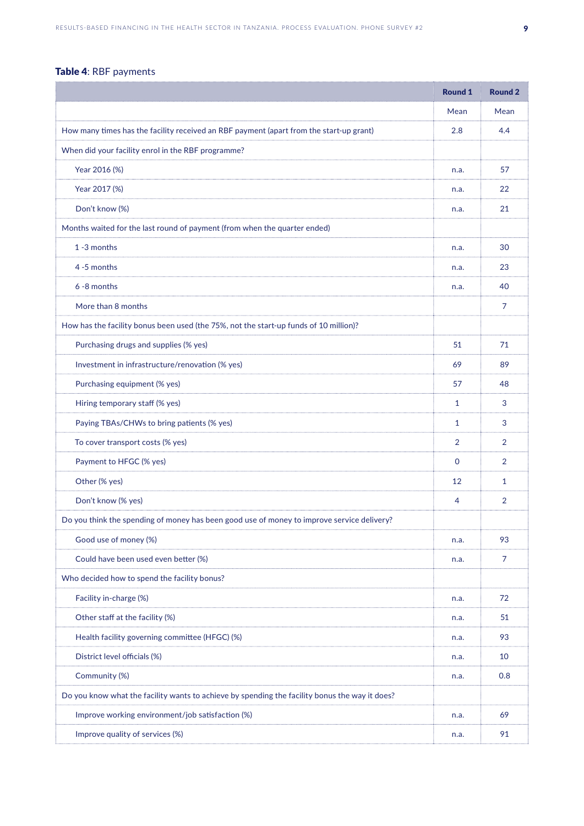## Table 4: RBF payments

|                                                                                                | <b>Round 1</b> | <b>Round 2</b> |
|------------------------------------------------------------------------------------------------|----------------|----------------|
|                                                                                                | Mean           | Mean           |
| How many times has the facility received an RBF payment (apart from the start-up grant)        | 2.8            | 4.4            |
| When did your facility enrol in the RBF programme?                                             |                |                |
| Year 2016 (%)                                                                                  | n.a.           | 57             |
| Year 2017 (%)                                                                                  | n.a.           | 22             |
| Don't know (%)                                                                                 | n.a.           | 21             |
| Months waited for the last round of payment (from when the quarter ended)                      |                |                |
| 1 -3 months                                                                                    | n.a.           | 30             |
| 4 -5 months                                                                                    | n.a.           | 23             |
| 6 -8 months                                                                                    | n.a.           | 40             |
| More than 8 months                                                                             |                | 7              |
| How has the facility bonus been used (the 75%, not the start-up funds of 10 million)?          |                |                |
| Purchasing drugs and supplies (% yes)                                                          | 51             | 71             |
| Investment in infrastructure/renovation (% yes)                                                | 69             | 89             |
| Purchasing equipment (% yes)                                                                   | 57             | 48             |
| Hiring temporary staff (% yes)                                                                 | 1              | 3              |
| Paying TBAs/CHWs to bring patients (% yes)                                                     | $\mathbf{1}$   | 3              |
| To cover transport costs (% yes)                                                               | 2              | 2              |
| Payment to HFGC (% yes)                                                                        | $\mathbf{0}$   | 2              |
| Other (% yes)                                                                                  | 12             | $\mathbf{1}$   |
| Don't know (% yes)                                                                             | 4              | 2              |
| Do you think the spending of money has been good use of money to improve service delivery?     |                |                |
| Good use of money (%)                                                                          | n.a.           | 93             |
| Could have been used even better (%)                                                           | n.a.           | $\overline{7}$ |
| Who decided how to spend the facility bonus?                                                   |                |                |
| Facility in-charge (%)                                                                         | n.a.           | 72             |
| Other staff at the facility (%)                                                                | n.a.           | 51             |
| Health facility governing committee (HFGC) (%)                                                 | n.a.           | 93             |
| District level officials (%)                                                                   | n.a.           | 10             |
| Community (%)                                                                                  | n.a.           | 0.8            |
| Do you know what the facility wants to achieve by spending the facility bonus the way it does? |                |                |
| Improve working environment/job satisfaction (%)                                               | n.a.           | 69             |
| Improve quality of services (%)                                                                | n.a.           | 91             |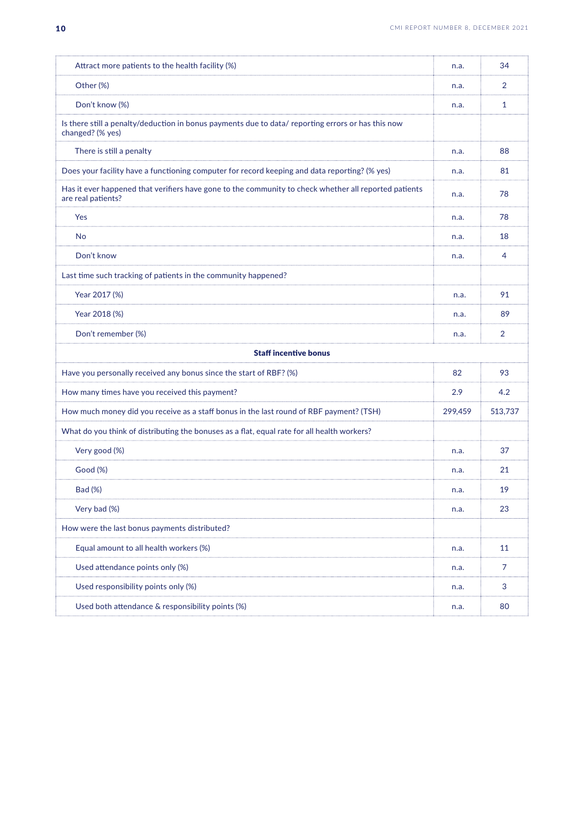| Attract more patients to the health facility (%)                                                                            | n.a.    | 34             |
|-----------------------------------------------------------------------------------------------------------------------------|---------|----------------|
| Other (%)                                                                                                                   | n.a.    | 2              |
| Don't know (%)                                                                                                              | n.a.    | 1              |
| Is there still a penalty/deduction in bonus payments due to data/ reporting errors or has this now<br>changed? (% yes)      |         |                |
| There is still a penalty                                                                                                    | n.a.    | 88             |
| Does your facility have a functioning computer for record keeping and data reporting? (% yes)                               | n.a.    | 81             |
| Has it ever happened that verifiers have gone to the community to check whether all reported patients<br>are real patients? | n.a.    | 78             |
| Yes                                                                                                                         | n.a.    | 78             |
| No                                                                                                                          | n.a.    | 18             |
| Don't know                                                                                                                  | n.a.    | 4              |
| Last time such tracking of patients in the community happened?                                                              |         |                |
| Year 2017 (%)                                                                                                               | n.a.    | 91             |
| Year 2018 (%)                                                                                                               | n.a.    | 89             |
| Don't remember (%)                                                                                                          | n.a.    | 2              |
| <b>Staff incentive bonus</b>                                                                                                |         |                |
| Have you personally received any bonus since the start of RBF? (%)                                                          | 82      | 93             |
| How many times have you received this payment?                                                                              | 2.9     | 4.2            |
| How much money did you receive as a staff bonus in the last round of RBF payment? (TSH)                                     | 299,459 | 513,737        |
| What do you think of distributing the bonuses as a flat, equal rate for all health workers?                                 |         |                |
| Very good (%)                                                                                                               | n.a.    | 37             |
| Good (%)                                                                                                                    | n.a.    | 21             |
| Bad (%)                                                                                                                     | n.a.    | 19             |
| Very bad (%)                                                                                                                | n.a.    | 23             |
| How were the last bonus payments distributed?                                                                               |         |                |
| Equal amount to all health workers (%)                                                                                      | n.a.    | 11             |
| Used attendance points only (%)                                                                                             | n.a.    | $\overline{7}$ |
| Used responsibility points only (%)                                                                                         | n.a.    | $\sqrt{3}$     |
| Used both attendance & responsibility points (%)                                                                            | n.a.    | 80             |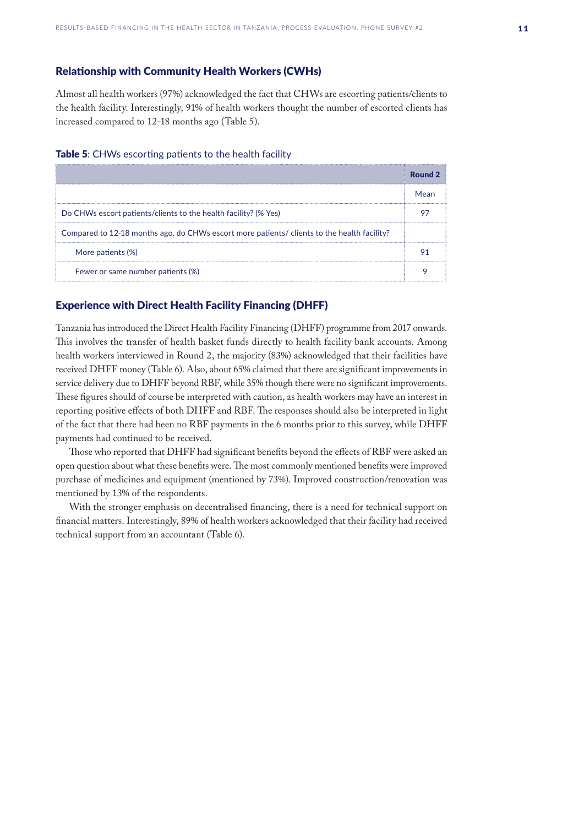#### <span id="page-10-0"></span>Relationship with Community Health Workers (CWHs)

Almost all health workers (97%) acknowledged the fact that CHWs are escorting patients/clients to the health facility. Interestingly, 91% of health workers thought the number of escorted clients has increased compared to 12-18 months ago (Table 5).

#### Table 5: CHWs escorting patients to the health facility

|                                                                                             | Round <sub>2</sub> |
|---------------------------------------------------------------------------------------------|--------------------|
|                                                                                             | Mean               |
| Do CHWs escort patients/clients to the health facility? (% Yes)                             |                    |
| Compared to 12-18 months ago, do CHWs escort more patients/ clients to the health facility? |                    |
| More patients (%)                                                                           |                    |
| Fewer or same number patients (%)                                                           |                    |

### Experience with Direct Health Facility Financing (DHFF)

Tanzania has introduced the Direct Health Facility Financing (DHFF) programme from 2017 onwards. This involves the transfer of health basket funds directly to health facility bank accounts. Among health workers interviewed in Round 2, the majority (83%) acknowledged that their facilities have received DHFF money (Table 6). Also, about 65% claimed that there are significant improvements in service delivery due to DHFF beyond RBF, while 35% though there were no significant improvements. These figures should of course be interpreted with caution, as health workers may have an interest in reporting positive effects of both DHFF and RBF. The responses should also be interpreted in light of the fact that there had been no RBF payments in the 6 months prior to this survey, while DHFF payments had continued to be received.

Those who reported that DHFF had significant benefits beyond the effects of RBF were asked an open question about what these benefits were. The most commonly mentioned benefits were improved purchase of medicines and equipment (mentioned by 73%). Improved construction/renovation was mentioned by 13% of the respondents.

With the stronger emphasis on decentralised financing, there is a need for technical support on financial matters. Interestingly, 89% of health workers acknowledged that their facility had received technical support from an accountant (Table 6).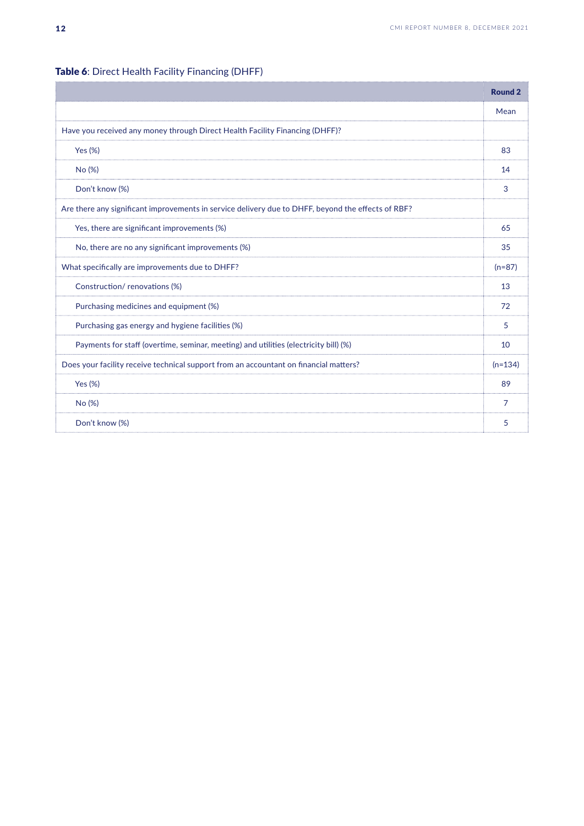|                                                                                                    | <b>Round 2</b> |
|----------------------------------------------------------------------------------------------------|----------------|
|                                                                                                    | Mean           |
| Have you received any money through Direct Health Facility Financing (DHFF)?                       |                |
| Yes $(\%)$                                                                                         | 83             |
| No (%)                                                                                             | 14             |
| Don't know (%)                                                                                     | 3              |
| Are there any significant improvements in service delivery due to DHFF, beyond the effects of RBF? |                |
| Yes, there are significant improvements (%)                                                        | 65             |
| No, there are no any significant improvements (%)                                                  | 35             |
| What specifically are improvements due to DHFF?                                                    | $(n=87)$       |
| Construction/renovations (%)                                                                       | 13             |
| Purchasing medicines and equipment (%)                                                             | 72             |
| Purchasing gas energy and hygiene facilities (%)                                                   | 5              |
| Payments for staff (overtime, seminar, meeting) and utilities (electricity bill) (%)               | 10             |
| Does your facility receive technical support from an accountant on financial matters?              | $(n=134)$      |
| Yes (%)                                                                                            | 89             |
| No (%)                                                                                             | 7              |
| Don't know (%)                                                                                     | 5              |

## Table 6: Direct Health Facility Financing (DHFF)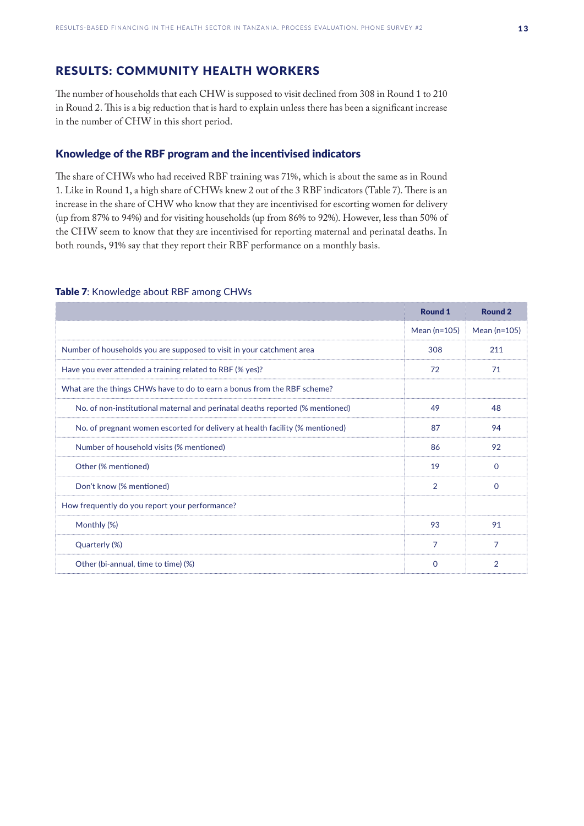## <span id="page-12-0"></span>RESULTS: COMMUNITY HEALTH WORKERS

The number of households that each CHW is supposed to visit declined from 308 in Round 1 to 210 in Round 2. This is a big reduction that is hard to explain unless there has been a significant increase in the number of CHW in this short period.

#### Knowledge of the RBF program and the incentivised indicators

The share of CHWs who had received RBF training was 71%, which is about the same as in Round 1. Like in Round 1, a high share of CHWs knew 2 out of the 3 RBF indicators (Table 7). There is an increase in the share of CHW who know that they are incentivised for escorting women for delivery (up from 87% to 94%) and for visiting households (up from 86% to 92%). However, less than 50% of the CHW seem to know that they are incentivised for reporting maternal and perinatal deaths. In both rounds, 91% say that they report their RBF performance on a monthly basis.

#### Table 7: Knowledge about RBF among CHWs

|                                                                               | <b>Round 1</b> | <b>Round 2</b> |
|-------------------------------------------------------------------------------|----------------|----------------|
|                                                                               | Mean $(n=105)$ | Mean $(n=105)$ |
| Number of households you are supposed to visit in your catchment area         | 308            | 211            |
| Have you ever attended a training related to RBF (% yes)?                     | 72             | 71             |
| What are the things CHWs have to do to earn a bonus from the RBF scheme?      |                |                |
| No. of non-institutional maternal and perinatal deaths reported (% mentioned) | 49             | 48             |
| No. of pregnant women escorted for delivery at health facility (% mentioned)  | 87             | 94             |
| Number of household visits (% mentioned)                                      | 86             | 92             |
| Other (% mentioned)                                                           | 19             | $\Omega$       |
| Don't know (% mentioned)                                                      | $\overline{2}$ | $\Omega$       |
| How frequently do you report your performance?                                |                |                |
| Monthly (%)                                                                   | 93             | 91             |
| Quarterly (%)                                                                 | 7              | 7              |
| Other (bi-annual, time to time) (%)                                           | 0              | $\overline{2}$ |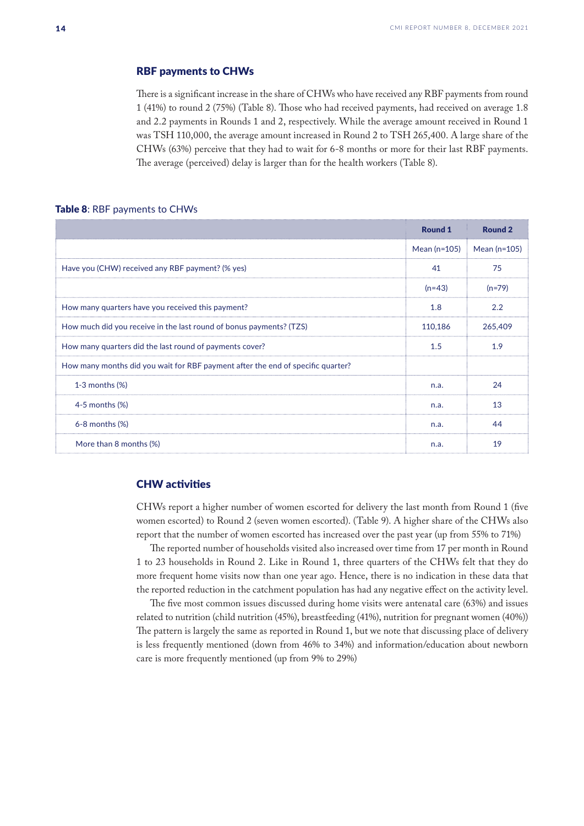#### <span id="page-13-0"></span>RBF payments to CHWs

There is a significant increase in the share of CHWs who have received any RBF payments from round 1 (41%) to round 2 (75%) (Table 8). Those who had received payments, had received on average 1.8 and 2.2 payments in Rounds 1 and 2, respectively. While the average amount received in Round 1 was TSH 110,000, the average amount increased in Round 2 to TSH 265,400. A large share of the CHWs (63%) perceive that they had to wait for 6-8 months or more for their last RBF payments. The average (perceived) delay is larger than for the health workers (Table 8).

#### Table 8: RBF payments to CHWs

|                                                                                 | <b>Round 1</b> | <b>Round 2</b> |
|---------------------------------------------------------------------------------|----------------|----------------|
|                                                                                 | Mean $(n=105)$ | Mean $(n=105)$ |
| Have you (CHW) received any RBF payment? (% yes)                                | 41             | 75             |
|                                                                                 | $(n=43)$       | $(n=79)$       |
| How many quarters have you received this payment?                               | 1.8            | 2.2            |
| How much did you receive in the last round of bonus payments? (TZS)             | 110,186        | 265,409        |
| How many quarters did the last round of payments cover?                         | 1.5            | 1.9            |
| How many months did you wait for RBF payment after the end of specific quarter? |                |                |
| $1-3$ months $(\%)$                                                             | n.a.           | 24             |
| $4-5$ months $(\%)$                                                             | n.a.           | 13             |
| $6-8$ months $(\%)$                                                             | n.a.           | 44             |
| More than 8 months (%)                                                          | n.a.           | 19             |

#### CHW activities

CHWs report a higher number of women escorted for delivery the last month from Round 1 (five women escorted) to Round 2 (seven women escorted). (Table 9). A higher share of the CHWs also report that the number of women escorted has increased over the past year (up from 55% to 71%)

The reported number of households visited also increased over time from 17 per month in Round 1 to 23 households in Round 2. Like in Round 1, three quarters of the CHWs felt that they do more frequent home visits now than one year ago. Hence, there is no indication in these data that the reported reduction in the catchment population has had any negative effect on the activity level.

The five most common issues discussed during home visits were antenatal care (63%) and issues related to nutrition (child nutrition (45%), breastfeeding (41%), nutrition for pregnant women (40%)) The pattern is largely the same as reported in Round 1, but we note that discussing place of delivery is less frequently mentioned (down from 46% to 34%) and information/education about newborn care is more frequently mentioned (up from 9% to 29%)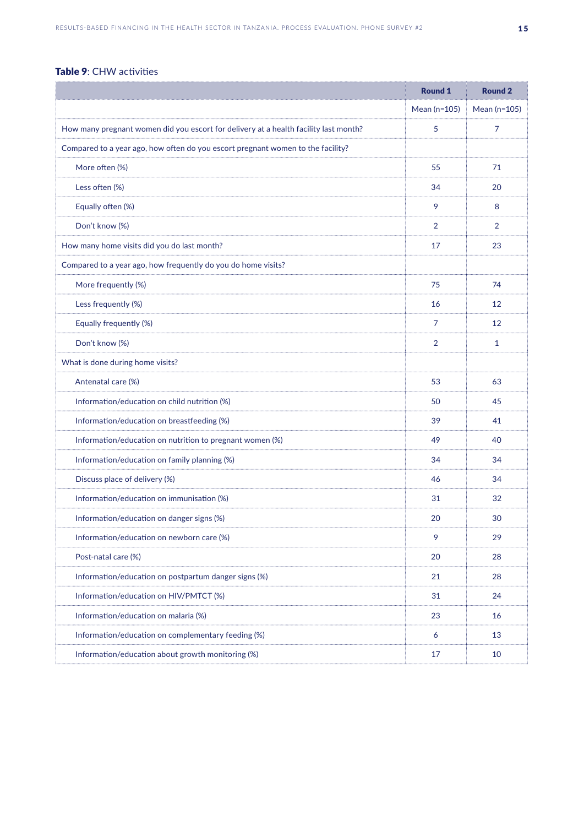## Table 9: CHW activities

|                                                                                      | <b>Round 1</b> | <b>Round 2</b> |
|--------------------------------------------------------------------------------------|----------------|----------------|
|                                                                                      | Mean (n=105)   | Mean (n=105)   |
| How many pregnant women did you escort for delivery at a health facility last month? | 5              | 7              |
| Compared to a year ago, how often do you escort pregnant women to the facility?      |                |                |
| More often (%)                                                                       | 55             | 71             |
| Less often (%)                                                                       | 34             | 20             |
| Equally often (%)                                                                    | 9              | 8              |
| Don't know (%)                                                                       | 2              | 2              |
| How many home visits did you do last month?                                          | 17             | 23             |
| Compared to a year ago, how frequently do you do home visits?                        |                |                |
| More frequently (%)                                                                  | 75             | 74             |
| Less frequently (%)                                                                  | 16             | 12             |
| Equally frequently (%)                                                               | 7              | 12             |
| Don't know (%)                                                                       | $\overline{2}$ | $\mathbf{1}$   |
| What is done during home visits?                                                     |                |                |
| Antenatal care (%)                                                                   | 53             | 63             |
| Information/education on child nutrition (%)                                         | 50             | 45             |
| Information/education on breastfeeding (%)                                           | 39             | 41             |
| Information/education on nutrition to pregnant women (%)                             | 49             | 40             |
| Information/education on family planning (%)                                         | 34             | 34             |
| Discuss place of delivery (%)                                                        | 46             | 34             |
| Information/education on immunisation (%)                                            | 31             | 32             |
| Information/education on danger signs (%)                                            | 20             | 30             |
| Information/education on newborn care (%)                                            | 9              | 29             |
| Post-natal care (%)                                                                  | 20             | 28             |
| Information/education on postpartum danger signs (%)                                 | 21             | 28             |
| Information/education on HIV/PMTCT (%)                                               | 31             | 24             |
| Information/education on malaria (%)                                                 | 23             | 16             |
| Information/education on complementary feeding (%)                                   | 6              | 13             |
| Information/education about growth monitoring (%)                                    | 17             | 10             |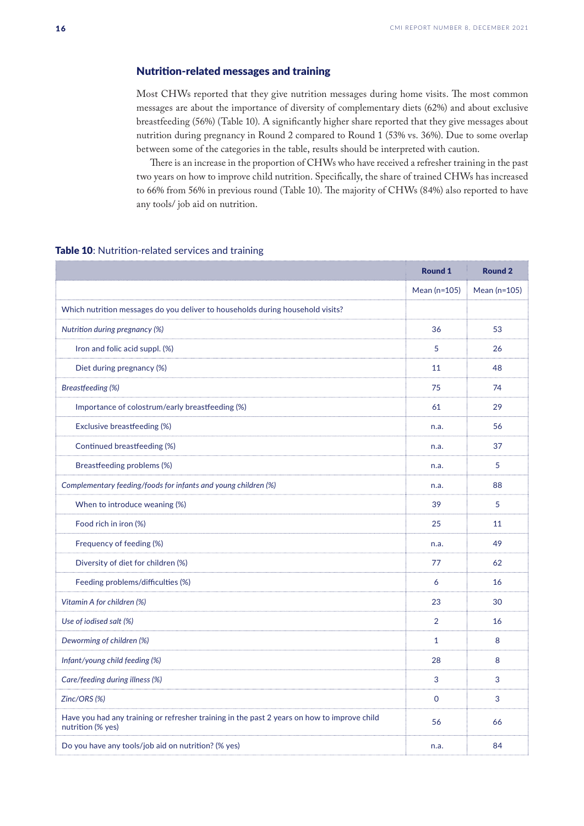#### <span id="page-15-0"></span>Nutrition-related messages and training

Most CHWs reported that they give nutrition messages during home visits. The most common messages are about the importance of diversity of complementary diets (62%) and about exclusive breastfeeding (56%) (Table 10). A significantly higher share reported that they give messages about nutrition during pregnancy in Round 2 compared to Round 1 (53% vs. 36%). Due to some overlap between some of the categories in the table, results should be interpreted with caution.

There is an increase in the proportion of CHWs who have received a refresher training in the past two years on how to improve child nutrition. Specifically, the share of trained CHWs has increased to 66% from 56% in previous round (Table 10). The majority of CHWs (84%) also reported to have any tools/ job aid on nutrition.

#### Table 10: Nutrition-related services and training

|                                                                                                                  | <b>Round 1</b> | <b>Round 2</b> |
|------------------------------------------------------------------------------------------------------------------|----------------|----------------|
|                                                                                                                  | Mean (n=105)   | Mean (n=105)   |
| Which nutrition messages do you deliver to households during household visits?                                   |                |                |
| Nutrition during pregnancy (%)                                                                                   | 36             | 53             |
| Iron and folic acid suppl. (%)                                                                                   | 5              | 26             |
| Diet during pregnancy (%)                                                                                        | 11             | 48             |
| <b>Breastfeeding (%)</b>                                                                                         | 75             | 74             |
| Importance of colostrum/early breastfeeding (%)                                                                  | 61             | 29             |
| Exclusive breastfeeding (%)                                                                                      | n.a.           | 56             |
| Continued breastfeeding (%)                                                                                      | n.a.           | 37             |
| Breastfeeding problems (%)                                                                                       | n.a.           | 5              |
| Complementary feeding/foods for infants and young children (%)                                                   | n.a.           | 88             |
| When to introduce weaning (%)                                                                                    | 39             | 5              |
| Food rich in iron (%)                                                                                            | 25             | 11             |
| Frequency of feeding (%)                                                                                         | n.a.           | 49             |
| Diversity of diet for children (%)                                                                               | 77             | 62             |
| Feeding problems/difficulties (%)                                                                                | 6              | 16             |
| Vitamin A for children (%)                                                                                       | 23             | 30             |
| Use of iodised salt (%)                                                                                          | $\overline{2}$ | 16             |
| Deworming of children (%)                                                                                        | $\mathbf{1}$   | 8              |
| Infant/young child feeding (%)                                                                                   | 28             | 8              |
| Care/feeding during illness (%)                                                                                  | 3              | 3              |
| Zinc/ORS (%)                                                                                                     | $\mathbf 0$    | 3              |
| Have you had any training or refresher training in the past 2 years on how to improve child<br>nutrition (% yes) | 56             | 66             |
| Do you have any tools/job aid on nutrition? (% yes)                                                              | n.a.           | 84             |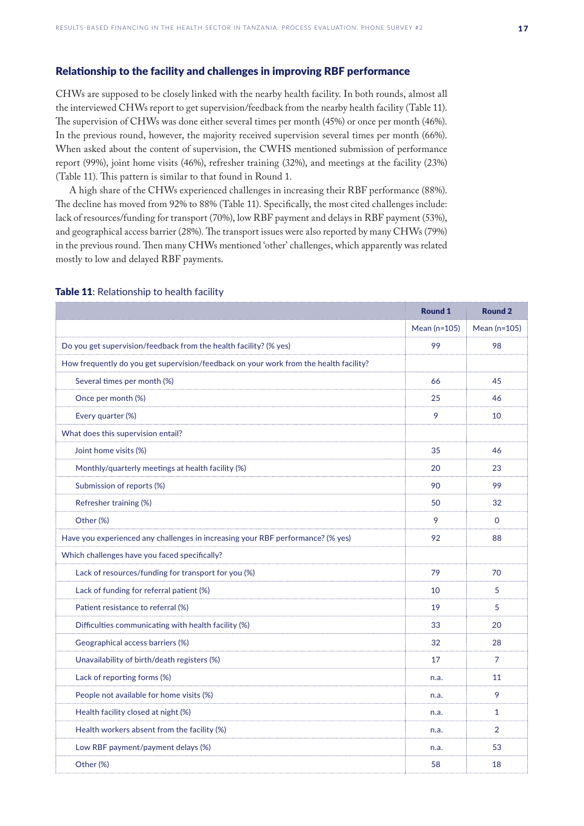#### <span id="page-16-0"></span>Relationship to the facility and challenges in improving RBF performance

CHWs are supposed to be closely linked with the nearby health facility. In both rounds, almost all the interviewed CHWs report to get supervision/feedback from the nearby health facility (Table 11). The supervision of CHWs was done either several times per month (45%) or once per month (46%). In the previous round, however, the majority received supervision several times per month (66%). When asked about the content of supervision, the CWHS mentioned submission of performance report (99%), joint home visits (46%), refresher training (32%), and meetings at the facility (23%) (Table 11). This pattern is similar to that found in Round 1.

A high share of the CHWs experienced challenges in increasing their RBF performance (88%). The decline has moved from 92% to 88% (Table 11). Specifically, the most cited challenges include: lack of resources/funding for transport (70%), low RBF payment and delays in RBF payment (53%), and geographical access barrier (28%). The transport issues were also reported by many CHWs (79%) in the previous round. Then many CHWs mentioned 'other' challenges, which apparently was related mostly to low and delayed RBF payments.

|                                                                                       | <b>Round 1</b> | <b>Round 2</b> |
|---------------------------------------------------------------------------------------|----------------|----------------|
|                                                                                       | Mean (n=105)   | Mean (n=105)   |
| Do you get supervision/feedback from the health facility? (% yes)                     | 99             | 98             |
| How frequently do you get supervision/feedback on your work from the health facility? |                |                |
| Several times per month (%)                                                           | 66             | 45             |
| Once per month (%)                                                                    | 25             | 46             |
| Every quarter (%)                                                                     | 9              | 10             |
| What does this supervision entail?                                                    |                |                |
| Joint home visits (%)                                                                 | 35             | 46             |
| Monthly/quarterly meetings at health facility (%)                                     | 20             | 23             |
| Submission of reports (%)                                                             | 90             | 99             |
| Refresher training (%)                                                                | 50             | 32             |
| Other (%)                                                                             | 9              | $\Omega$       |
| Have you experienced any challenges in increasing your RBF performance? (% yes)       | 92             | 88             |
| Which challenges have you faced specifically?                                         |                |                |
| Lack of resources/funding for transport for you (%)                                   | 79             | 70             |
| Lack of funding for referral patient (%)                                              | 10             | 5              |
| Patient resistance to referral (%)                                                    | 19             | 5              |
| Difficulties communicating with health facility (%)                                   | 33             | 20             |
| Geographical access barriers (%)                                                      | 32             | 28             |
| Unavailability of birth/death registers (%)                                           | 17             | 7              |
| Lack of reporting forms (%)                                                           | n.a.           | 11             |
| People not available for home visits (%)                                              | n.a.           | 9              |
| Health facility closed at night (%)                                                   | n.a.           | $\mathbf{1}$   |
| Health workers absent from the facility (%)                                           | n.a.           | $\overline{2}$ |
| Low RBF payment/payment delays (%)                                                    | n.a.           | 53             |
| Other (%)                                                                             | 58             | 18             |

#### Table 11: Relationship to health facility